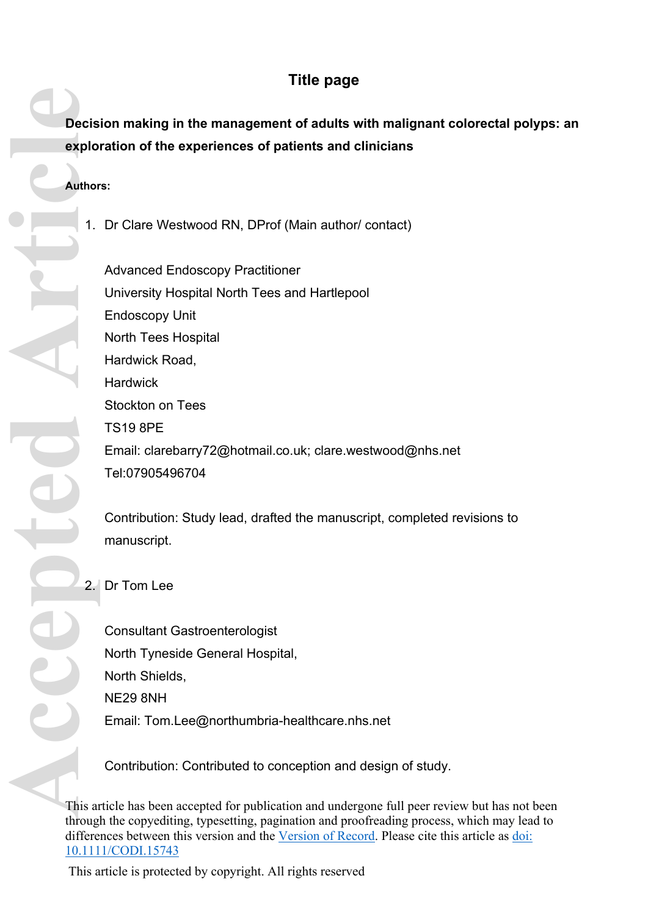# **Title page**

# **Decision making in the management of adults with malignant colorectal polyps: an exploration of the experiences of patients and clinicians**

### **Authors:**

1. Dr Clare Westwood RN, DProf (Main author/ contact)

Advanced Endoscopy Practitioner University Hospital North Tees and Hartlepool Endoscopy Unit North Tees Hospital Hardwick Road, **Hardwick** Stockton on Tees TS19 8PE Email: [clarebarry72@hotmail.co.uk](mailto:clarebarry72@hotmail.co.uk); [clare.westwood@nhs.net](mailto:clare.westwood@nhs.net) <Tel:07905496704>

Contribution: Study lead, drafted the manuscript, completed revisions to manuscript.

2. Dr Tom Lee

Consultant Gastroenterologist North Tyneside General Hospital, North Shields, NE29 8NH Email: [Tom.Lee@northumbria-healthcare.nhs.net](mailto:Tom.Lee@northumbria-healthcare.nhs.net)

Contribution: Contributed to conception and design of study.

This article has been accepted for publication and undergone full peer review but has not been through the copyediting, typesetting, pagination and proofreading process, which may lead to differences between this version and the [Version of Record.](https://doi.org/10.1111/CODI.15743) Please cite this article as [doi:](https://doi.org/10.1111/CODI.15743)  [10.1111/CODI.15743](https://doi.org/10.1111/CODI.15743)

This article is protected by copyright. All rights reserved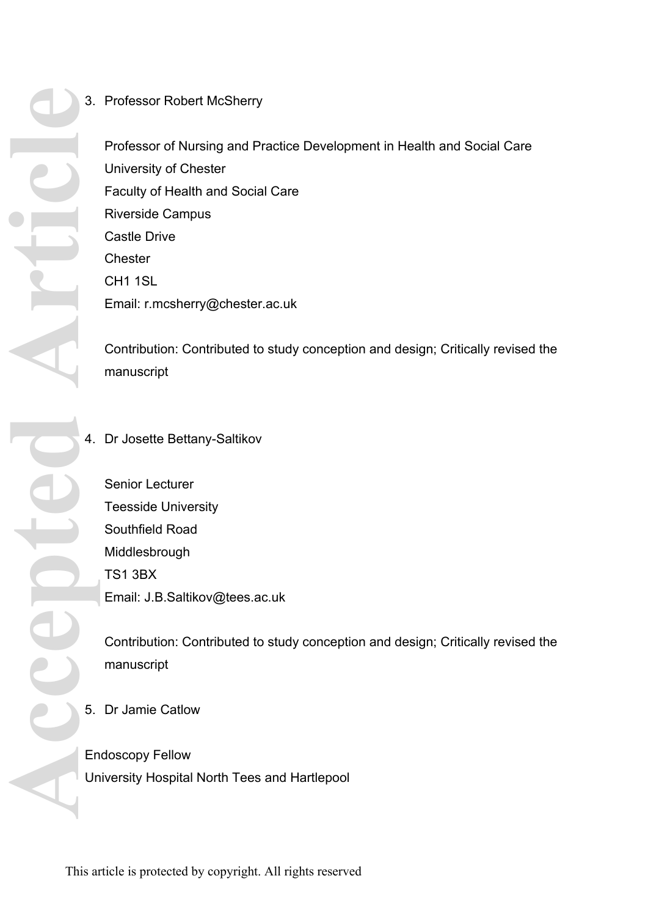## 3. Professor Robert McSherry

Professor of Nursing and Practice Development in Health and Social Care University of Chester Faculty of Health and Social Care Riverside Campus Castle Drive **Chester** CH1 1SL Email: [r.mcsherry@chester.ac.uk](mailto:r.mcsherry@chester.ac.uk)

Contribution: Contributed to study conception and design; Critically revised the manuscript

### 4. Dr Josette Bettany-Saltikov

Senior Lecturer Teesside University Southfield Road Middlesbrough TS1 3BX Email: [J.B.Saltikov@tees.ac.uk](mailto:J.B.Saltikov@tees.ac.uk)

Contribution: Contributed to study conception and design; Critically revised the manuscript

5. Dr Jamie Catlow

Endoscopy Fellow University Hospital North Tees and Hartlepool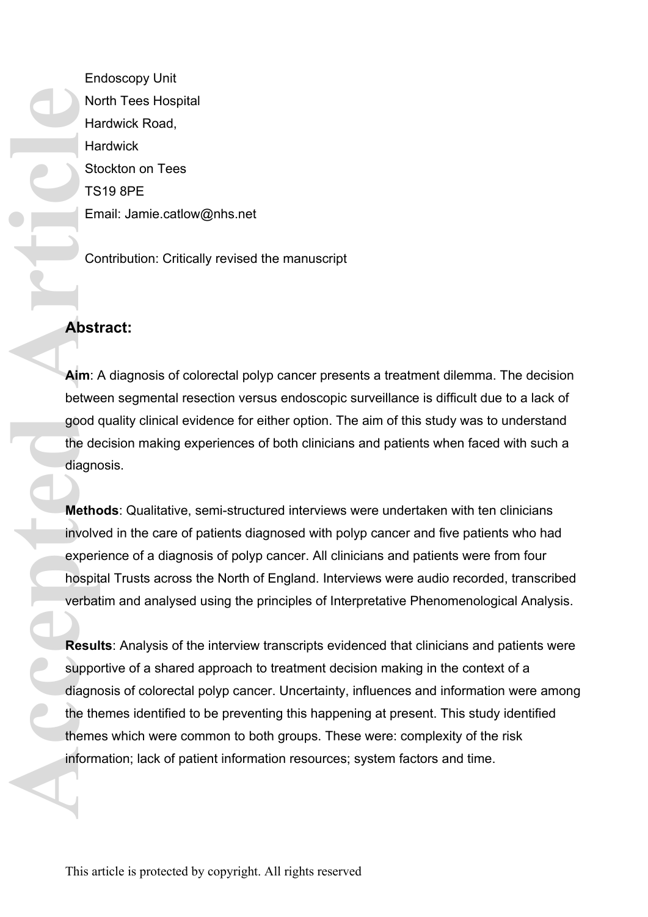Endoscopy Unit North Tees Hospital Hardwick Road, **Hardwick** Stockton on Tees TS19 8PE Email: [Jamie.catlow@nhs.net](mailto:Jamie.catlow@nhs.net)

Contribution: Critically revised the manuscript

# **Abstract:**

**Aim**: A diagnosis of colorectal polyp cancer presents a treatment dilemma. The decision between segmental resection versus endoscopic surveillance is difficult due to a lack of good quality clinical evidence for either option. The aim of this study was to understand the decision making experiences of both clinicians and patients when faced with such a diagnosis.

**Methods**: Qualitative, semi-structured interviews were undertaken with ten clinicians involved in the care of patients diagnosed with polyp cancer and five patients who had experience of a diagnosis of polyp cancer. All clinicians and patients were from four hospital Trusts across the North of England. Interviews were audio recorded, transcribed verbatim and analysed using the principles of Interpretative Phenomenological Analysis.

**Results**: Analysis of the interview transcripts evidenced that clinicians and patients were supportive of a shared approach to treatment decision making in the context of a diagnosis of colorectal polyp cancer. Uncertainty, influences and information were among the themes identified to be preventing this happening at present. This study identified themes which were common to both groups. These were: complexity of the risk information; lack of patient information resources; system factors and time. Note Ha<br>
Ha<br>
Stort TS<br>
En<br>
Co<br> **Abst**<br> **Abst**<br> **Abst**<br> **Abst**<br> **Abst**<br> **Abst**<br> **Abst**<br> **Abst**<br> **Abst**<br> **Abst**<br> **Abst**<br> **Abst**<br> **Abst**<br> **Abst**<br> **Abst**<br> **Abst**<br> **Abst**<br> **Abst**<br> **Abst**<br> **Abst**<br> **Abst**<br> **Abst**<br> **Abst**<br> **Abst**<br>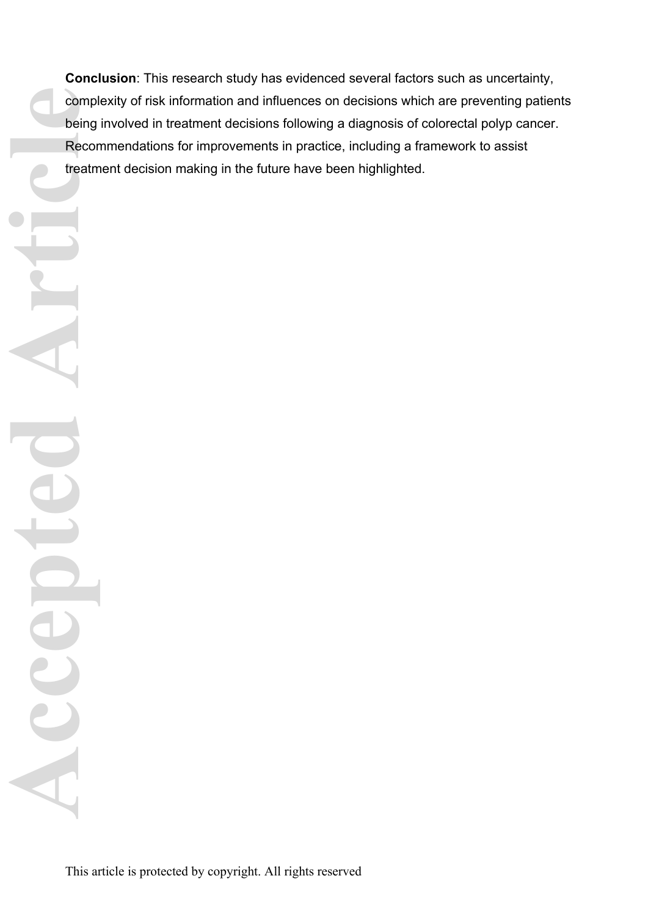**Conclusion**: This research study has evidenced several factors such as uncertainty, complexity of risk information and influences on decisions which are preventing patients being involved in treatment decisions following a diagnosis of colorectal polyp cancer. Recommendations for improvements in practice, including a framework to assist treatment decision making in the future have been highlighted.

This article is protected by copyright. All rights reserved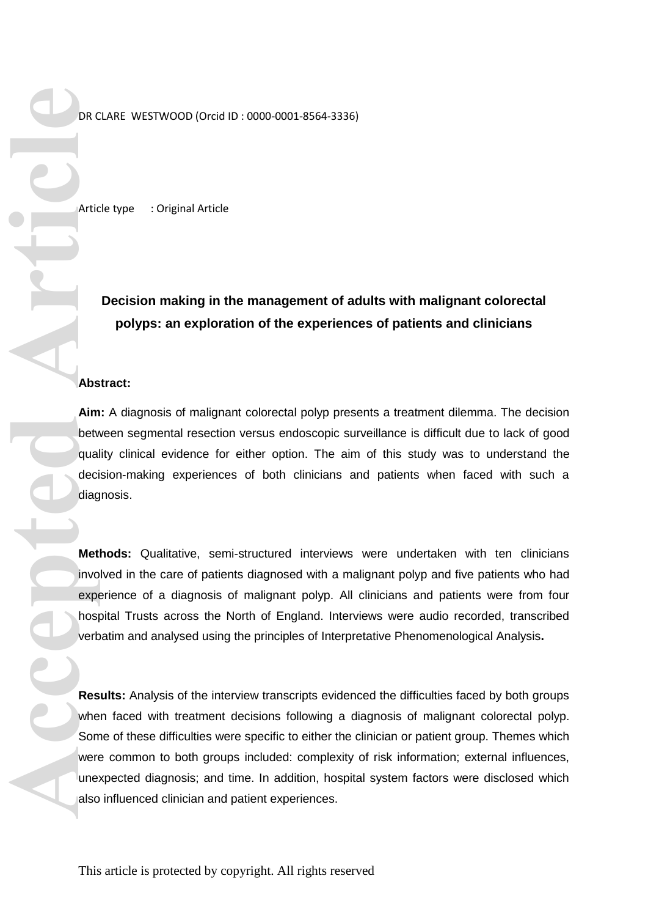DR CLARE WESTWOOD (Orcid ID : 0000-0001-8564-3336)

Article type : Original Article

# **Decision making in the management of adults with malignant colorectal polyps: an exploration of the experiences of patients and clinicians**

#### **Abstract:**

**Aim:** A diagnosis of malignant colorectal polyp presents a treatment dilemma. The decision between segmental resection versus endoscopic surveillance is difficult due to lack of good quality clinical evidence for either option. The aim of this study was to understand the decision-making experiences of both clinicians and patients when faced with such a diagnosis.

**Methods:** Qualitative, semi-structured interviews were undertaken with ten clinicians involved in the care of patients diagnosed with a malignant polyp and five patients who had experience of a diagnosis of malignant polyp. All clinicians and patients were from four hospital Trusts across the North of England. Interviews were audio recorded, transcribed verbatim and analysed using the principles of Interpretative Phenomenological Analysis**.** 

**Results:** Analysis of the interview transcripts evidenced the difficulties faced by both groups when faced with treatment decisions following a diagnosis of malignant colorectal polyp. Some of these difficulties were specific to either the clinician or patient group. Themes which were common to both groups included: complexity of risk information; external influences, unexpected diagnosis; and time. In addition, hospital system factors were disclosed which also influenced clinician and patient experiences. **Example 1998**<br>
Artic<br>
Artic<br>
Artic<br>
Artic<br>
Artic<br>
Artic<br>
Artic<br>
Artic<br>
Artic<br>
Artic<br>
Artic<br>
Artic<br>
Artic<br>
Artic<br>
Artic<br>
Artic<br>
Artic<br>
Artic<br>
Artic<br>
Artic<br>
Artic<br>
Artic<br>
Artic<br>
Artic<br>
Artic<br>
Artic<br>
Artic<br>
Artic<br>
Artic<br>
Art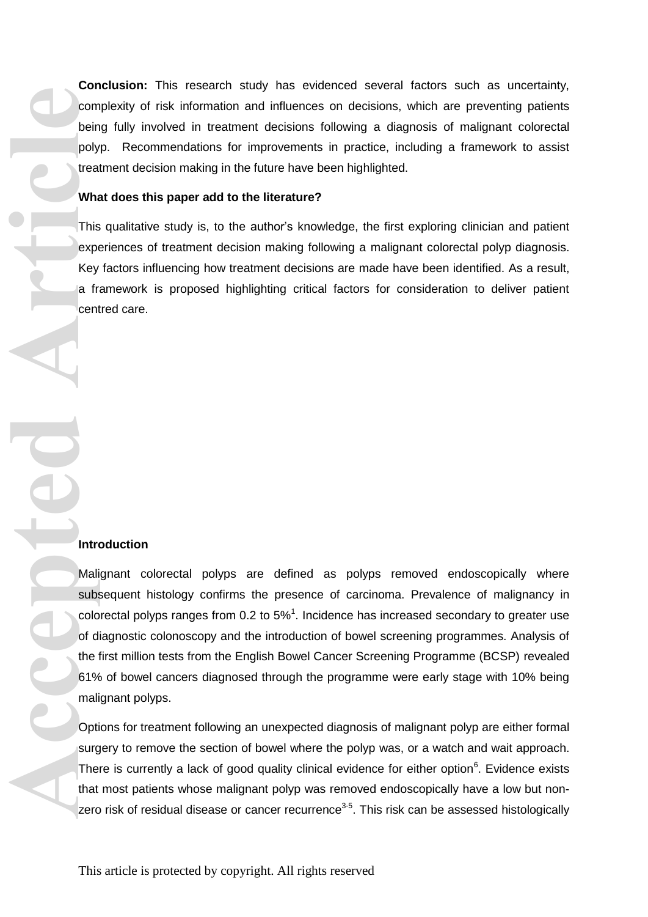**Conclusion:** This research study has evidenced several factors such as uncertainty, complexity of risk information and influences on decisions, which are preventing patients being fully involved in treatment decisions following a diagnosis of malignant colorectal polyp. Recommendations for improvements in practice, including a framework to assist treatment decision making in the future have been highlighted.

#### **What does this paper add to the literature?**

This qualitative study is, to the author's knowledge, the first exploring clinician and patient experiences of treatment decision making following a malignant colorectal polyp diagnosis. Key factors influencing how treatment decisions are made have been identified. As a result, a framework is proposed highlighting critical factors for consideration to deliver patient centred care.

#### **Introduction**

Malignant colorectal polyps are defined as polyps removed endoscopically where subsequent histology confirms the presence of carcinoma. Prevalence of malignancy in colorectal polyps ranges from  $0.2$  to  $5\%$ <sup>1</sup>. Incidence has increased secondary to greater use of diagnostic colonoscopy and the introduction of bowel screening programmes. Analysis of the first million tests from the English Bowel Cancer Screening Programme (BCSP) revealed 61% of bowel cancers diagnosed through the programme were early stage with 10% being malignant polyps. **Acception**<br> **Acception**<br> **Acception**<br> **Acception**<br> **Acception**<br> **Acception**<br> **Acception**<br> **Acception**<br> **Acception**<br> **Acception**<br> **Acception**<br> **Acception**<br> **Acception**<br> **Acception**<br> **Acception**<br> **Acception**<br> **Acception**<br>

Options for treatment following an unexpected diagnosis of malignant polyp are either formal surgery to remove the section of bowel where the polyp was, or a watch and wait approach. There is currently a lack of good quality clinical evidence for either option $6$ . Evidence exists that most patients whose malignant polyp was removed endoscopically have a low but nonzero risk of residual disease or cancer recurrence $3-5$ . This risk can be assessed histologically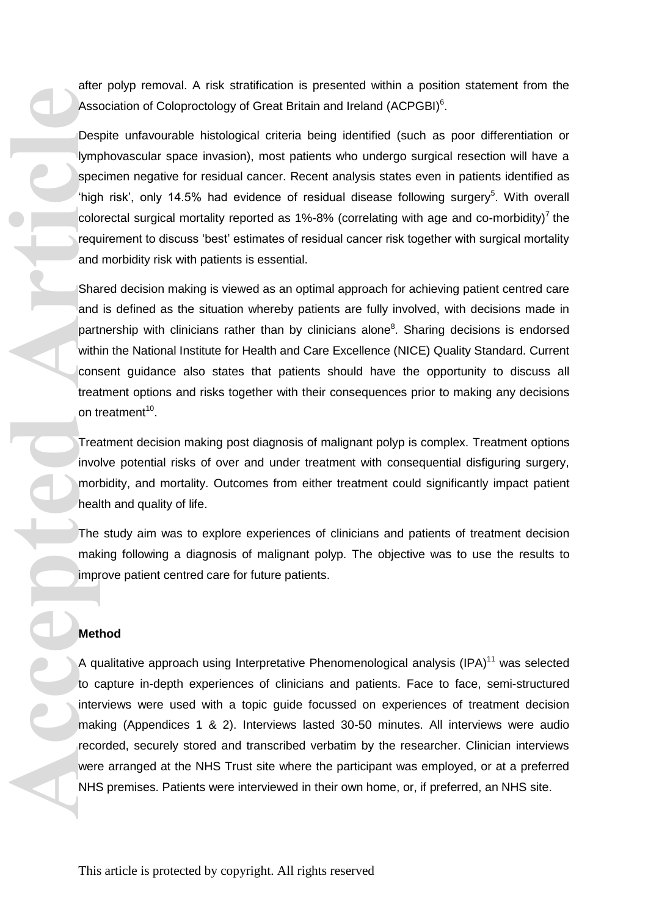after polyp removal. A risk stratification is presented within a position statement from the Association of Coloproctology of Great Britain and Ireland (ACPGBI) $6$ .

Despite unfavourable histological criteria being identified (such as poor differentiation or lymphovascular space invasion), most patients who undergo surgical resection will have a specimen negative for residual cancer. Recent analysis states even in patients identified as 'high risk', only 14.5% had evidence of residual disease following surgery<sup>5</sup>. With overall colorectal surgical mortality reported as  $1\%$ -8% (correlating with age and co-morbidity)<sup>7</sup> the requirement to discuss 'best' estimates of residual cancer risk together with surgical mortality and morbidity risk with patients is essential.

Shared decision making is viewed as an optimal approach for achieving patient centred care and is defined as the situation whereby patients are fully involved, with decisions made in partnership with clinicians rather than by clinicians alone<sup>8</sup>. Sharing decisions is endorsed within the National Institute for Health and Care Excellence (NICE) Quality Standard. Current consent guidance also states that patients should have the opportunity to discuss all treatment options and risks together with their consequences prior to making any decisions on treatment<sup>10</sup>.

Treatment decision making post diagnosis of malignant polyp is complex. Treatment options involve potential risks of over and under treatment with consequential disfiguring surgery, morbidity, and mortality. Outcomes from either treatment could significantly impact patient health and quality of life.

The study aim was to explore experiences of clinicians and patients of treatment decision making following a diagnosis of malignant polyp. The objective was to use the results to improve patient centred care for future patients.

#### **Method**

A qualitative approach using Interpretative Phenomenological analysis (IPA)<sup>11</sup> was selected to capture in-depth experiences of clinicians and patients. Face to face, semi-structured interviews were used with a topic guide focussed on experiences of treatment decision making (Appendices 1 & 2). Interviews lasted 30-50 minutes. All interviews were audio recorded, securely stored and transcribed verbatim by the researcher. Clinician interviews were arranged at the NHS Trust site where the participant was employed, or at a preferred NHS premises. Patients were interviewed in their own home, or, if preferred, an NHS site. Asser<br>
Des<br>
Vimpi spec<br>
"high spec<br>
"high colo<br>
requand Sha and Sha and the spec<br>
on the mak<br>
mor heal<br>
The mak<br>
mpi Met<br>
A qu<br>
to c<br>
inter mak<br>
mpi Met<br>
A qu<br>
to c<br>
inter mak<br>
mpi Met<br>
A qu<br>
to c<br>
inter mak<br>
mpi Met<br>
K<br>
H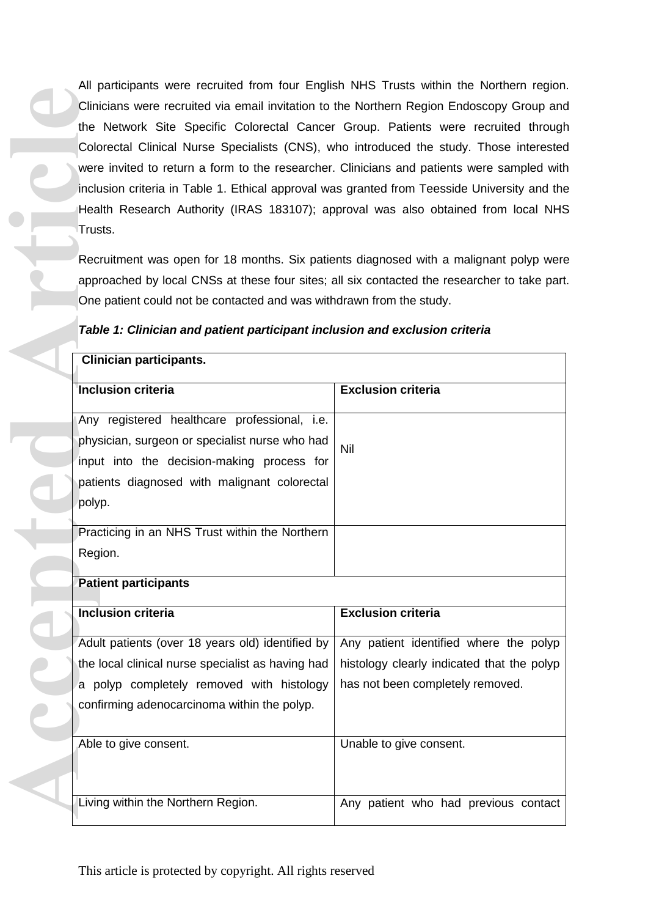All participants were recruited from four English NHS Trusts within the Northern region. Clinicians were recruited via email invitation to the Northern Region Endoscopy Group and the Network Site Specific Colorectal Cancer Group. Patients were recruited through Colorectal Clinical Nurse Specialists (CNS), who introduced the study. Those interested were invited to return a form to the researcher. Clinicians and patients were sampled with inclusion criteria in Table 1. Ethical approval was granted from Teesside University and the Health Research Authority (IRAS 183107); approval was also obtained from local NHS Trusts.

|  |  |  |  |  |  |  |  |  | Table 1: Clinician and patient participant inclusion and exclusion criteria |  |
|--|--|--|--|--|--|--|--|--|-----------------------------------------------------------------------------|--|
|--|--|--|--|--|--|--|--|--|-----------------------------------------------------------------------------|--|

| Clinicians were recruited via email invitation to the Northern Region Endoscopy Group and    |                                            |  |  |  |  |
|----------------------------------------------------------------------------------------------|--------------------------------------------|--|--|--|--|
| the Network Site Specific Colorectal Cancer Group. Patients were recruited through           |                                            |  |  |  |  |
| Colorectal Clinical Nurse Specialists (CNS), who introduced the study. Those interested      |                                            |  |  |  |  |
| were invited to return a form to the researcher. Clinicians and patients were sampled with   |                                            |  |  |  |  |
| inclusion criteria in Table 1. Ethical approval was granted from Teesside University and the |                                            |  |  |  |  |
| Health Research Authority (IRAS 183107); approval was also obtained from local NHS           |                                            |  |  |  |  |
| Trusts.                                                                                      |                                            |  |  |  |  |
| Recruitment was open for 18 months. Six patients diagnosed with a malignant polyp were       |                                            |  |  |  |  |
| approached by local CNSs at these four sites; all six contacted the researcher to take part. |                                            |  |  |  |  |
| One patient could not be contacted and was withdrawn from the study.                         |                                            |  |  |  |  |
| Table 1: Clinician and patient participant inclusion and exclusion criteria                  |                                            |  |  |  |  |
| <b>Clinician participants.</b>                                                               |                                            |  |  |  |  |
| Inclusion criteria                                                                           | <b>Exclusion criteria</b>                  |  |  |  |  |
|                                                                                              |                                            |  |  |  |  |
| Any registered healthcare professional, i.e.                                                 |                                            |  |  |  |  |
| physician, surgeon or specialist nurse who had                                               | Nil                                        |  |  |  |  |
| input into the decision-making process for                                                   |                                            |  |  |  |  |
| patients diagnosed with malignant colorectal                                                 |                                            |  |  |  |  |
| polyp.                                                                                       |                                            |  |  |  |  |
| Practicing in an NHS Trust within the Northern                                               |                                            |  |  |  |  |
| Region.                                                                                      |                                            |  |  |  |  |
| <b>Patient participants</b>                                                                  |                                            |  |  |  |  |
| <b>Inclusion criteria</b>                                                                    | <b>Exclusion criteria</b>                  |  |  |  |  |
| Adult patients (over 18 years old) identified by                                             | Any patient identified where the polyp     |  |  |  |  |
| the local clinical nurse specialist as having had                                            | histology clearly indicated that the polyp |  |  |  |  |
| a polyp completely removed with histology                                                    | has not been completely removed.           |  |  |  |  |
| confirming adenocarcinoma within the polyp.                                                  |                                            |  |  |  |  |
| Able to give consent.                                                                        | Unable to give consent.                    |  |  |  |  |
|                                                                                              |                                            |  |  |  |  |
|                                                                                              |                                            |  |  |  |  |
| Living within the Northern Region.                                                           | Any patient who had previous contact       |  |  |  |  |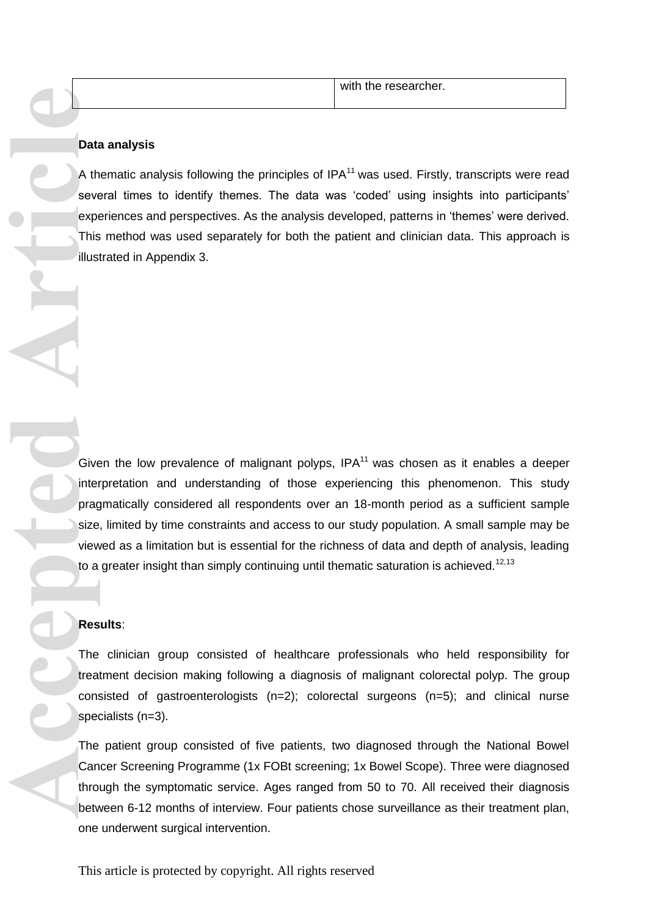| with the researcher. |
|----------------------|
|                      |

#### **Data analysis**

A thematic analysis following the principles of  $IPA^{11}$  was used. Firstly, transcripts were read several times to identify themes. The data was 'coded' using insights into participants' experiences and perspectives. As the analysis developed, patterns in 'themes' were derived. This method was used separately for both the patient and clinician data. This approach is illustrated in Appendix 3.

Given the low prevalence of malignant polyps,  $IPA<sup>11</sup>$  was chosen as it enables a deeper interpretation and understanding of those experiencing this phenomenon. This study pragmatically considered all respondents over an 18-month period as a sufficient sample size, limited by time constraints and access to our study population. A small sample may be viewed as a limitation but is essential for the richness of data and depth of analysis, leading to a greater insight than simply continuing until thematic saturation is achieved.<sup>12,13</sup> **Dational Article**<br> **Accepted Article**<br> **Accepted Article**<br> **Accepted Article**<br> **Accepted Article**<br> **Accepted Article**<br> **Caived Article**<br> **Caived Article**<br> **Caived Article**<br> **Caived Article**<br> **Caived Article**<br> **Caived Arti** 

#### **Results**:

The clinician group consisted of healthcare professionals who held responsibility for treatment decision making following a diagnosis of malignant colorectal polyp. The group consisted of gastroenterologists (n=2); colorectal surgeons (n=5); and clinical nurse specialists (n=3).

The patient group consisted of five patients, two diagnosed through the National Bowel Cancer Screening Programme (1x FOBt screening; 1x Bowel Scope). Three were diagnosed through the symptomatic service. Ages ranged from 50 to 70. All received their diagnosis between 6-12 months of interview. Four patients chose surveillance as their treatment plan, one underwent surgical intervention.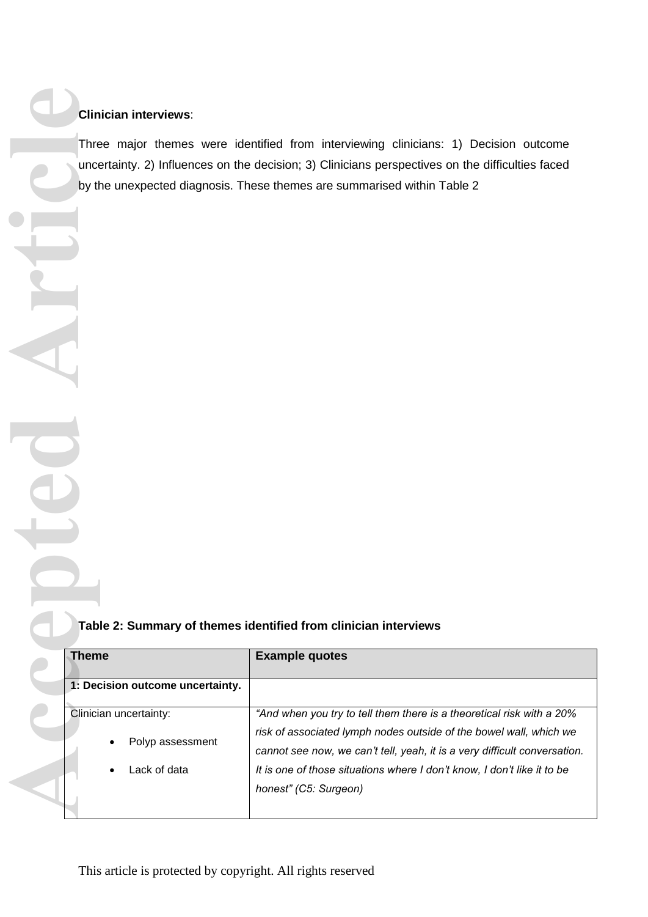#### **Clinician interviews**:

#### **Table 2: Summary of themes identified from clinician interviews**

| <b>Clinician interviews:</b>                               |                                                                                                                                                                                                                                                                                                                              |
|------------------------------------------------------------|------------------------------------------------------------------------------------------------------------------------------------------------------------------------------------------------------------------------------------------------------------------------------------------------------------------------------|
|                                                            | Three major themes were identified from interviewing clinicians: 1) Decision outcome<br>uncertainty. 2) Influences on the decision; 3) Clinicians perspectives on the difficulties faced<br>by the unexpected diagnosis. These themes are summarised within Table 2                                                          |
|                                                            |                                                                                                                                                                                                                                                                                                                              |
|                                                            |                                                                                                                                                                                                                                                                                                                              |
|                                                            |                                                                                                                                                                                                                                                                                                                              |
|                                                            | Table 2: Summary of themes identified from clinician interviews                                                                                                                                                                                                                                                              |
| <b>Theme</b>                                               | <b>Example quotes</b>                                                                                                                                                                                                                                                                                                        |
| 1: Decision outcome uncertainty.                           |                                                                                                                                                                                                                                                                                                                              |
| Clinician uncertainty:<br>Polyp assessment<br>Lack of data | "And when you try to tell them there is a theoretical risk with a 20%<br>risk of associated lymph nodes outside of the bowel wall, which we<br>cannot see now, we can't tell, yeah, it is a very difficult conversation.<br>It is one of those situations where I don't know, I don't like it to be<br>honest" (C5: Surgeon) |
|                                                            |                                                                                                                                                                                                                                                                                                                              |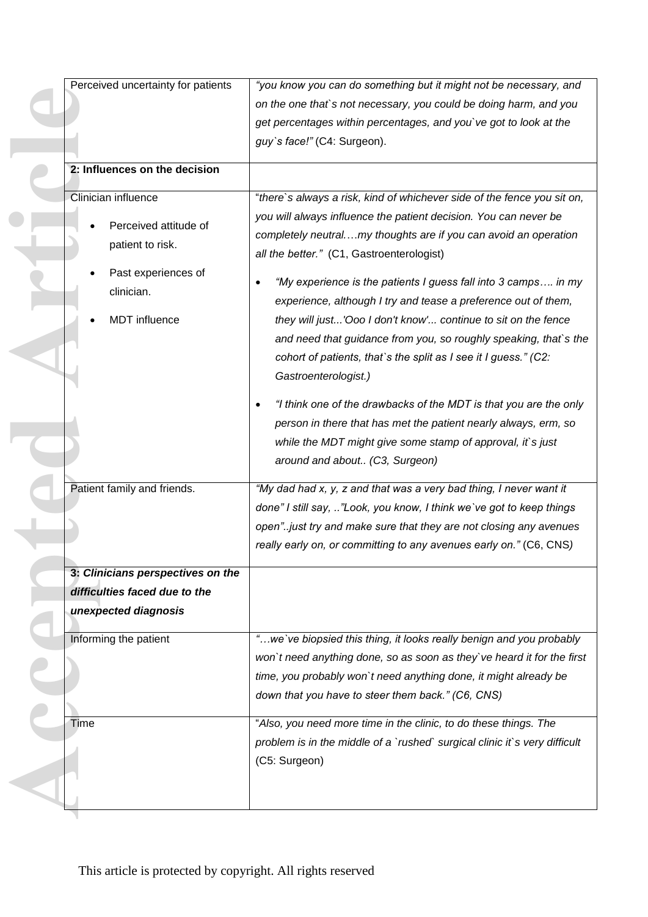| Perceived uncertainty for patients | "you know you can do something but it might not be necessary, and          |
|------------------------------------|----------------------------------------------------------------------------|
|                                    | on the one that's not necessary, you could be doing harm, and you          |
|                                    | get percentages within percentages, and you've got to look at the          |
|                                    | guy's face!" (C4: Surgeon).                                                |
|                                    |                                                                            |
| 2: Influences on the decision      |                                                                            |
| Clinician influence                | "there's always a risk, kind of whichever side of the fence you sit on,    |
|                                    | you will always influence the patient decision. You can never be           |
| Perceived attitude of              | completely neutralmy thoughts are if you can avoid an operation            |
| patient to risk.                   | all the better." (C1, Gastroenterologist)                                  |
| Past experiences of                |                                                                            |
| clinician.                         | "My experience is the patients I guess fall into 3 camps in my             |
|                                    | experience, although I try and tease a preference out of them,             |
| <b>MDT</b> influence               | they will just'Ooo I don't know' continue to sit on the fence              |
|                                    | and need that guidance from you, so roughly speaking, that's the           |
|                                    | cohort of patients, that's the split as I see it I guess." (C2:            |
|                                    | Gastroenterologist.)                                                       |
|                                    | "I think one of the drawbacks of the MDT is that you are the only          |
|                                    | person in there that has met the patient nearly always, erm, so            |
|                                    | while the MDT might give some stamp of approval, it's just                 |
|                                    | around and about (C3, Surgeon)                                             |
|                                    |                                                                            |
| Patient family and friends.        | "My dad had x, y, z and that was a very bad thing, I never want it         |
|                                    | done" I still say, "Look, you know, I think we've got to keep things       |
|                                    | open"just try and make sure that they are not closing any avenues          |
|                                    | really early on, or committing to any avenues early on." (C6, CNS)         |
| 3: Clinicians perspectives on the  |                                                                            |
| difficulties faced due to the      |                                                                            |
| unexpected diagnosis               |                                                                            |
|                                    |                                                                            |
| Informing the patient              | "we've biopsied this thing, it looks really benign and you probably        |
|                                    | won't need anything done, so as soon as they've heard it for the first     |
|                                    | time, you probably won't need anything done, it might already be           |
|                                    | down that you have to steer them back." (C6, CNS)                          |
| Time                               | "Also, you need more time in the clinic, to do these things. The           |
|                                    | problem is in the middle of a `rushed` surgical clinic it`s very difficult |
|                                    |                                                                            |
|                                    | (C5: Surgeon)                                                              |
|                                    |                                                                            |
|                                    |                                                                            |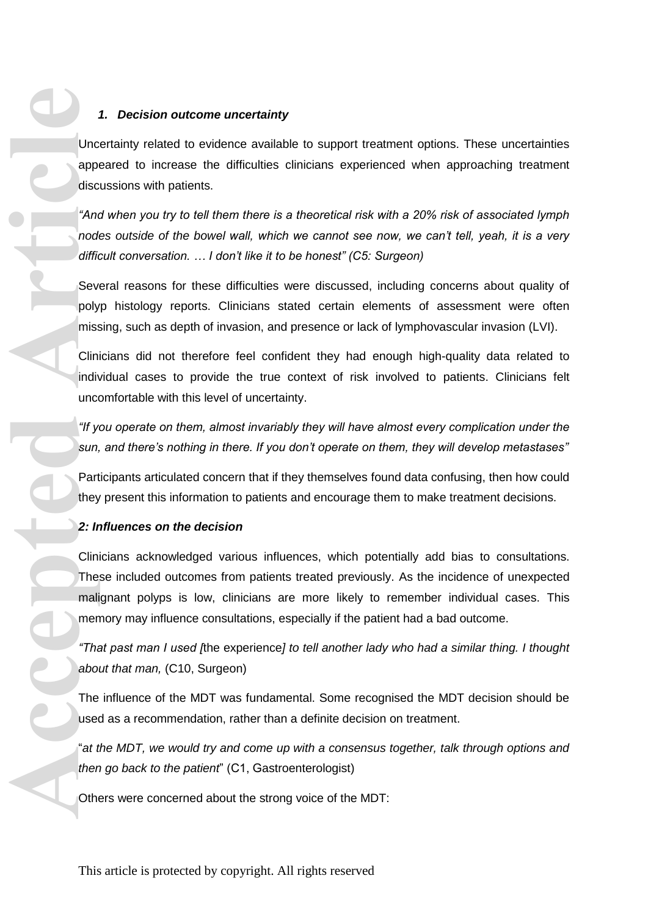#### *1. Decision outcome uncertainty*

Uncertainty related to evidence available to support treatment options. These uncertainties appeared to increase the difficulties clinicians experienced when approaching treatment discussions with patients.

*"And when you try to tell them there is a theoretical risk with a 20% risk of associated lymph nodes outside of the bowel wall, which we cannot see now, we can't tell, yeah, it is a very difficult conversation. … I don't like it to be honest" (C5: Surgeon)*

Several reasons for these difficulties were discussed, including concerns about quality of polyp histology reports. Clinicians stated certain elements of assessment were often missing, such as depth of invasion, and presence or lack of lymphovascular invasion (LVI).

Clinicians did not therefore feel confident they had enough high-quality data related to individual cases to provide the true context of risk involved to patients. Clinicians felt uncomfortable with this level of uncertainty.

*"If you operate on them, almost invariably they will have almost every complication under the sun, and there's nothing in there. If you don't operate on them, they will develop metastases"*

Participants articulated concern that if they themselves found data confusing, then how could they present this information to patients and encourage them to make treatment decisions.

#### *2: Influences on the decision*

Clinicians acknowledged various influences, which potentially add bias to consultations. These included outcomes from patients treated previously. As the incidence of unexpected malignant polyps is low, clinicians are more likely to remember individual cases. This memory may influence consultations, especially if the patient had a bad outcome. Unce approvises<br>
articles of the district of the product of the product of the product of the product of the mail<br>
about the mail men about the search of the search of the Use the Cother<br>
about The Luse the the Use the Cot

*"That past man I used [*the experience*] to tell another lady who had a similar thing. I thought about that man,* (C10, Surgeon)

The influence of the MDT was fundamental. Some recognised the MDT decision should be used as a recommendation, rather than a definite decision on treatment.

"*at the MDT, we would try and come up with a consensus together, talk through options and then go back to the patient*" (C1, Gastroenterologist)

Others were concerned about the strong voice of the MDT: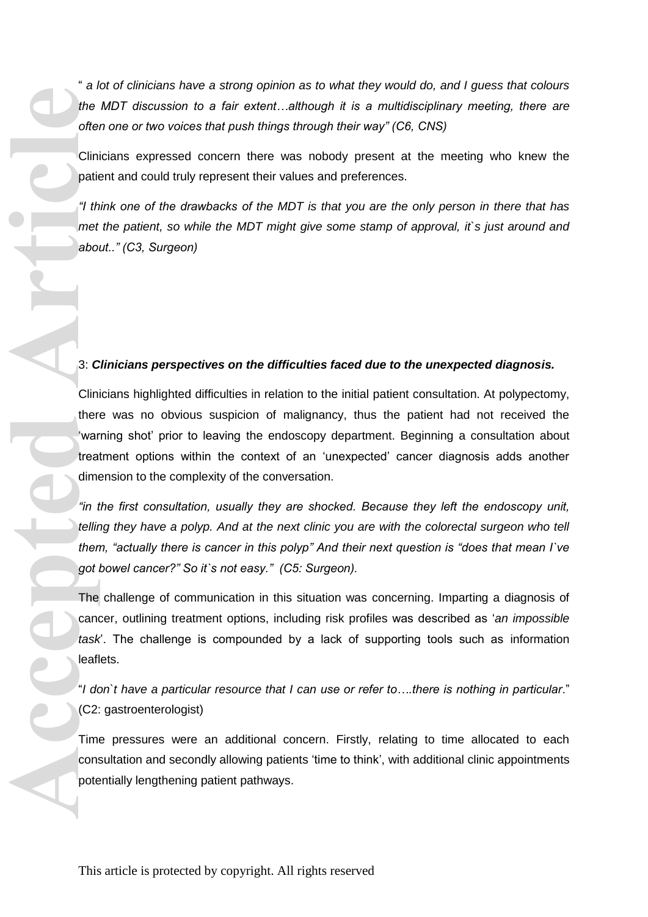" *a lot of clinicians have a strong opinion as to what they would do, and I guess that colours the MDT discussion to a fair extent…although it is a multidisciplinary meeting, there are often one or two voices that push things through their way" (C6, CNS)*

Clinicians expressed concern there was nobody present at the meeting who knew the patient and could truly represent their values and preferences.

*"I think one of the drawbacks of the MDT is that you are the only person in there that has met the patient, so while the MDT might give some stamp of approval, it`s just around and about.." (C3, Surgeon)*

#### 3: *Clinicians perspectives on the difficulties faced due to the unexpected diagnosis.*

Clinicians highlighted difficulties in relation to the initial patient consultation. At polypectomy, there was no obvious suspicion of malignancy, thus the patient had not received the 'warning shot' prior to leaving the endoscopy department. Beginning a consultation about treatment options within the context of an 'unexpected' cancer diagnosis adds another dimension to the complexity of the conversation. the offer Clini<br>
the offer Clini<br>
paties<br>
offer He dabol<br>
the dabol<br>
3: C<br>
Clini then war treat<br>
then war treat<br>
then war treat<br>
then find the dilli<br>
find then got i<br>
The cance<br>
task<br>
leafl<br>
"I do<br>
(C2:<br>
Tim cons<br>
pote

*"in the first consultation, usually they are shocked. Because they left the endoscopy unit, telling they have a polyp. And at the next clinic you are with the colorectal surgeon who tell them, "actually there is cancer in this polyp" And their next question is "does that mean I`ve got bowel cancer?" So it`s not easy." (C5: Surgeon).*

The challenge of communication in this situation was concerning. Imparting a diagnosis of cancer, outlining treatment options, including risk profiles was described as '*an impossible task*'. The challenge is compounded by a lack of supporting tools such as information leaflets.

"*I don`t have a particular resource that I can use or refer to….there is nothing in particular*." (C2: gastroenterologist)

Time pressures were an additional concern. Firstly, relating to time allocated to each consultation and secondly allowing patients 'time to think', with additional clinic appointments potentially lengthening patient pathways.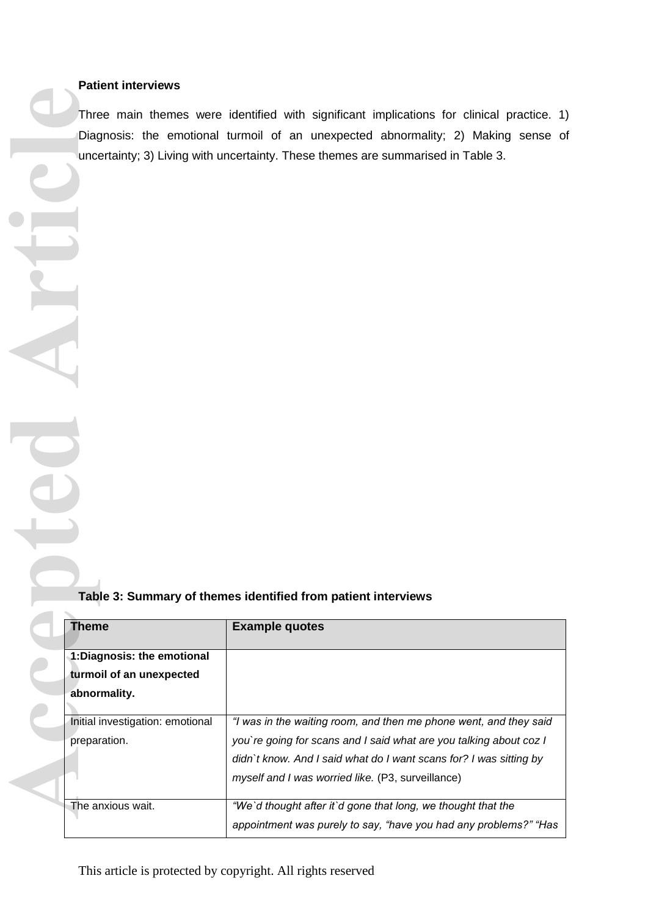### **Patient interviews**

### **Table 3: Summary of themes identified from patient interviews**

|                                  | Three main themes were identified with significant implications for clinical practice. 1) |  |
|----------------------------------|-------------------------------------------------------------------------------------------|--|
|                                  | Diagnosis: the emotional turmoil of an unexpected abnormality; 2) Making sense of         |  |
|                                  | uncertainty; 3) Living with uncertainty. These themes are summarised in Table 3.          |  |
|                                  |                                                                                           |  |
|                                  |                                                                                           |  |
|                                  |                                                                                           |  |
|                                  |                                                                                           |  |
|                                  |                                                                                           |  |
|                                  |                                                                                           |  |
|                                  |                                                                                           |  |
|                                  |                                                                                           |  |
|                                  |                                                                                           |  |
|                                  |                                                                                           |  |
|                                  |                                                                                           |  |
|                                  |                                                                                           |  |
|                                  |                                                                                           |  |
|                                  |                                                                                           |  |
|                                  |                                                                                           |  |
|                                  |                                                                                           |  |
|                                  |                                                                                           |  |
|                                  |                                                                                           |  |
|                                  |                                                                                           |  |
|                                  |                                                                                           |  |
|                                  |                                                                                           |  |
|                                  | Table 3: Summary of themes identified from patient interviews                             |  |
|                                  |                                                                                           |  |
| <b>Theme</b>                     | <b>Example quotes</b>                                                                     |  |
| 1:Diagnosis: the emotional       |                                                                                           |  |
| turmoil of an unexpected         |                                                                                           |  |
| abnormality.                     |                                                                                           |  |
|                                  |                                                                                           |  |
| Initial investigation: emotional | "I was in the waiting room, and then me phone went, and they said                         |  |
| preparation.                     | you're going for scans and I said what are you talking about coz I                        |  |
|                                  | didn't know. And I said what do I want scans for? I was sitting by                        |  |
|                                  | myself and I was worried like. (P3, surveillance)                                         |  |
| The anxious wait.                | "We'd thought after it'd gone that long, we thought that the                              |  |
|                                  | appointment was purely to say, "have you had any problems?" "Has                          |  |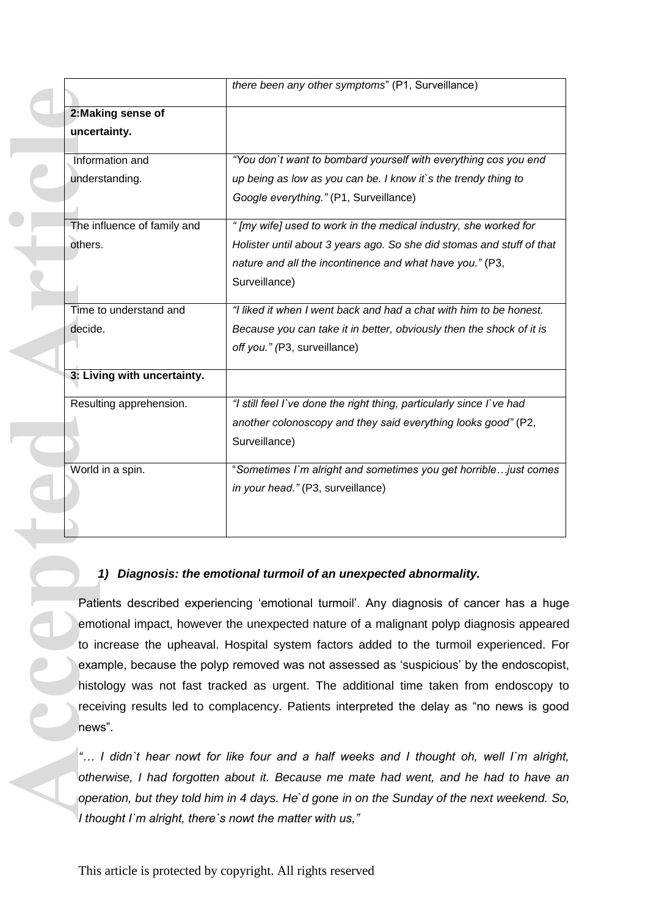|                             | there been any other symptoms" (P1, Surveillance)                                          |
|-----------------------------|--------------------------------------------------------------------------------------------|
| 2: Making sense of          |                                                                                            |
| uncertainty.                |                                                                                            |
| Information and             | "You don't want to bombard yourself with everything cos you end                            |
| understanding.              | up being as low as you can be. I know it's the trendy thing to                             |
|                             | Google everything." (P1, Surveillance)                                                     |
| The influence of family and | " [my wife] used to work in the medical industry, she worked for                           |
| others.                     | Holister until about 3 years ago. So she did stomas and stuff of that                      |
|                             | nature and all the incontinence and what have you." (P3,                                   |
|                             | Surveillance)                                                                              |
| Time to understand and      | "I liked it when I went back and had a chat with him to be honest.                         |
| decide.                     | Because you can take it in better, obviously then the shock of it is                       |
|                             | off you." (P3, surveillance)                                                               |
| 3: Living with uncertainty. |                                                                                            |
| Resulting apprehension.     | "I still feel I've done the right thing, particularly since I've had                       |
|                             | another colonoscopy and they said everything looks good" (P2,                              |
|                             | Surveillance)                                                                              |
| World in a spin.            | "Sometimes I'm alright and sometimes you get horrible just comes                           |
|                             | in your head." (P3, surveillance)                                                          |
|                             |                                                                                            |
|                             |                                                                                            |
|                             | 1) Diagnosis: the emotional turmoil of an unexpected abnormality.                          |
|                             | Patients described experiencing 'emotional turmoil'. Any diagnosis of cancer has a huge    |
|                             | emotional impact, however the unexpected nature of a malignant polyp diagnosis appeared    |
|                             | to increase the upheaval. Hospital system factors added to the turmoil experienced. Fo     |
|                             | example, because the polyp removed was not assessed as 'suspicious' by the endoscopist     |
|                             | histology was not fast tracked as urgent. The additional time taken from endoscopy to      |
|                             | receiving results led to complacency. Patients interpreted the delay as "no news is good   |
| news".                      |                                                                                            |
|                             | " I didn't hear nowt for like four and a half weeks and I thought oh, well I'm alright     |
|                             | otherwise, I had forgotten about it. Because me mate had went, and he had to have are      |
|                             | operation, but they told him in 4 days. He'd gone in on the Sunday of the next weekend. So |
|                             | I thought $\Gamma$ m alright there is nout the matter with us $"$                          |

### *1) Diagnosis: the emotional turmoil of an unexpected abnormality.*

*"… I didn`t hear nowt for like four and a half weeks and I thought oh, well I`m alright, otherwise, I had forgotten about it. Because me mate had went, and he had to have an operation, but they told him in 4 days. He`d gone in on the Sunday of the next weekend. So, I thought I`m alright, there`s nowt the matter with us,"*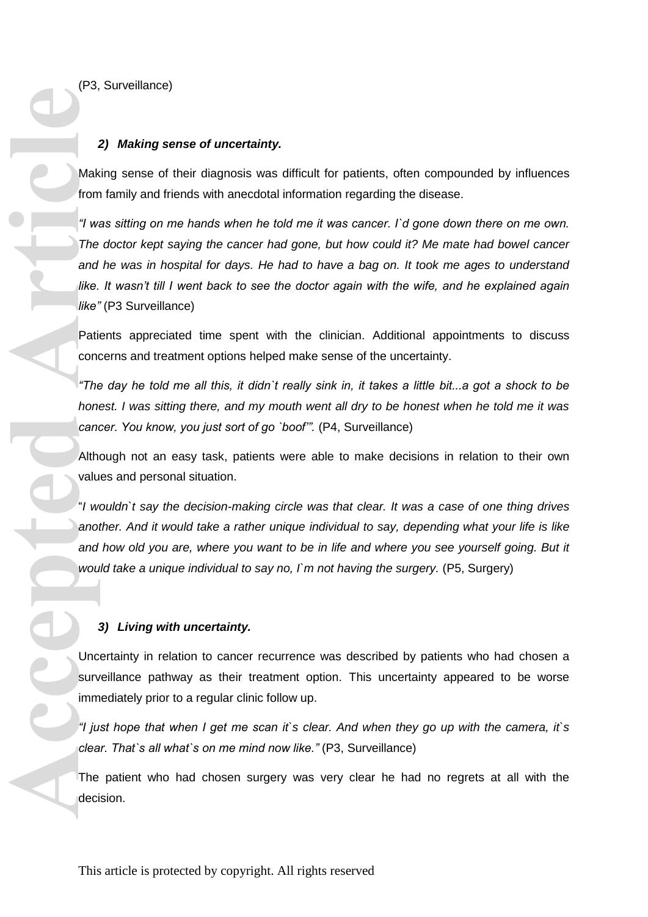(P3, Surveillance)

#### *2) Making sense of uncertainty.*

Making sense of their diagnosis was difficult for patients, often compounded by influences from family and friends with anecdotal information regarding the disease.

*"I was sitting on me hands when he told me it was cancer. I`d gone down there on me own. The doctor kept saying the cancer had gone, but how could it? Me mate had bowel cancer and he was in hospital for days. He had to have a bag on. It took me ages to understand like. It wasn't till I went back to see the doctor again with the wife, and he explained again like"* (P3 Surveillance) Mak<br>
from "I wa The<br>
and like.<br>
I We and like.<br>
Pati cond "The<br>
Arth valu "I w ano and Wou "I w ano and Wou "I w ano and Wou "I w ano and Wou "I ju clea<br>
The deci

Patients appreciated time spent with the clinician. Additional appointments to discuss concerns and treatment options helped make sense of the uncertainty.

*"The day he told me all this, it didn`t really sink in, it takes a little bit...a got a shock to be honest. I was sitting there, and my mouth went all dry to be honest when he told me it was*  cancer. You know, you just sort of go `boof". (P4, Surveillance)

Although not an easy task, patients were able to make decisions in relation to their own values and personal situation.

"*I wouldn`t say the decision-making circle was that clear. It was a case of one thing drives another. And it would take a rather unique individual to say, depending what your life is like*  and how old you are, where you want to be in life and where you see yourself going. But it would take a unique individual to say no, I'm not having the surgery. (P5, Surgery)

#### *3) Living with uncertainty.*

Uncertainty in relation to cancer recurrence was described by patients who had chosen a surveillance pathway as their treatment option. This uncertainty appeared to be worse immediately prior to a regular clinic follow up.

*"I just hope that when I get me scan it`s clear. And when they go up with the camera, it`s clear. That`s all what`s on me mind now like."* (P3, Surveillance)

The patient who had chosen surgery was very clear he had no regrets at all with the decision.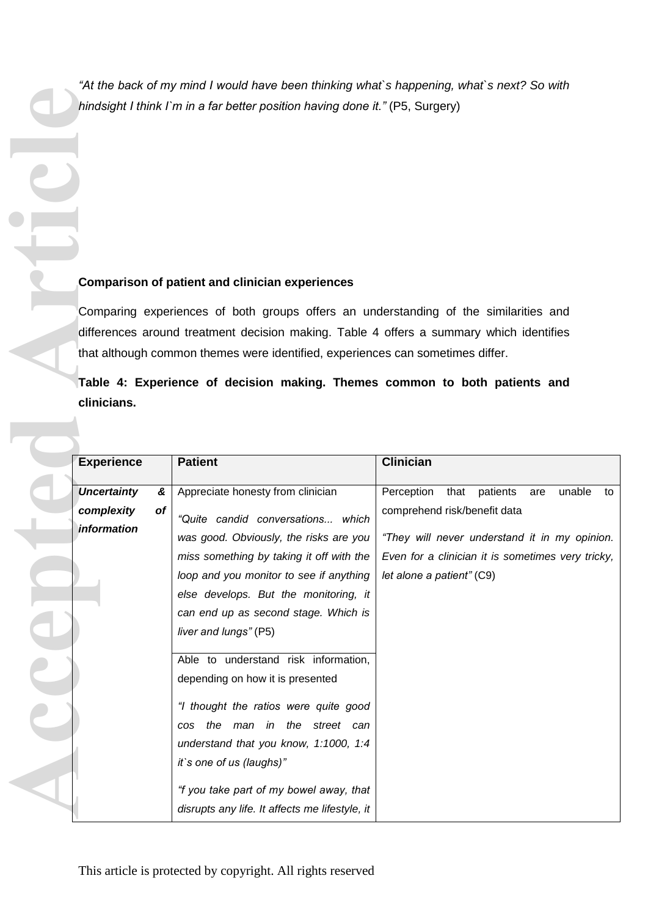*"At the back of my mind I would have been thinking what`s happening, what`s next? So with hindsight I think I`m in a far better position having done it."* (P5, Surgery)

### **Comparison of patient and clinician experiences**

|                                                                   | hindsight I think I'm in a far better position having done it." (P5, Surgery)                                                                                                                                                                                                                                                                                                                                                                                                                                                                                                           |                                                                                                                                                                                                                          |
|-------------------------------------------------------------------|-----------------------------------------------------------------------------------------------------------------------------------------------------------------------------------------------------------------------------------------------------------------------------------------------------------------------------------------------------------------------------------------------------------------------------------------------------------------------------------------------------------------------------------------------------------------------------------------|--------------------------------------------------------------------------------------------------------------------------------------------------------------------------------------------------------------------------|
| clinicians.                                                       | <b>Comparison of patient and clinician experiences</b><br>Comparing experiences of both groups offers an understanding of the similarities and<br>differences around treatment decision making. Table 4 offers a summary which identifies<br>that although common themes were identified, experiences can sometimes differ.<br>Table 4: Experience of decision making. Themes common to both patients and                                                                                                                                                                               |                                                                                                                                                                                                                          |
| <b>Experience</b>                                                 | <b>Patient</b>                                                                                                                                                                                                                                                                                                                                                                                                                                                                                                                                                                          | <b>Clinician</b>                                                                                                                                                                                                         |
| <b>Uncertainty</b><br>&<br>complexity<br>of<br><i>information</i> | Appreciate honesty from clinician<br>"Quite candid conversations which<br>was good. Obviously, the risks are you<br>miss something by taking it off with the<br>loop and you monitor to see if anything<br>else develops. But the monitoring, it<br>can end up as second stage. Which is<br>liver and lungs" (P5)<br>Able to understand risk information,<br>depending on how it is presented<br>"I thought the ratios were quite good<br>cos the man in the street can<br>understand that you know, 1:1000, 1:4<br>it's one of us (laughs)"<br>"f you take part of my bowel away, that | Perception<br>that<br>patients<br>unable<br>are<br>to<br>comprehend risk/benefit data<br>"They will never understand it in my opinion.<br>Even for a clinician it is sometimes very tricky,<br>let alone a patient" (C9) |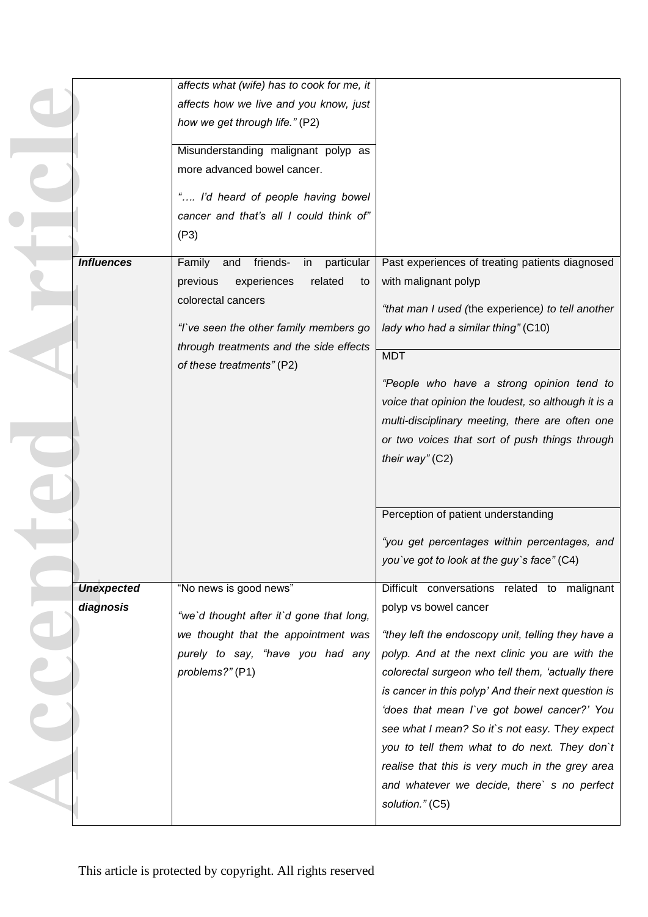|                   | affects what (wife) has to cook for me, it    |                                                     |
|-------------------|-----------------------------------------------|-----------------------------------------------------|
|                   | affects how we live and you know, just        |                                                     |
|                   | how we get through life." (P2)                |                                                     |
|                   |                                               |                                                     |
|                   | Misunderstanding malignant polyp as           |                                                     |
|                   | more advanced bowel cancer.                   |                                                     |
|                   | " I'd heard of people having bowel            |                                                     |
|                   | cancer and that's all I could think of"       |                                                     |
|                   | (P3)                                          |                                                     |
|                   |                                               |                                                     |
| <b>Influences</b> | friends-<br>in<br>particular<br>Family<br>and | Past experiences of treating patients diagnosed     |
|                   | experiences<br>previous<br>related<br>to      | with malignant polyp                                |
|                   | colorectal cancers                            | "that man I used (the experience) to tell another   |
|                   | "I've seen the other family members go        | lady who had a similar thing" (C10)                 |
|                   | through treatments and the side effects       |                                                     |
|                   | of these treatments" (P2)                     | <b>MDT</b>                                          |
|                   |                                               | "People who have a strong opinion tend to           |
|                   |                                               | voice that opinion the loudest, so although it is a |
|                   |                                               | multi-disciplinary meeting, there are often one     |
|                   |                                               | or two voices that sort of push things through      |
|                   |                                               | their way" $(C2)$                                   |
|                   |                                               |                                                     |
|                   |                                               |                                                     |
|                   |                                               | Perception of patient understanding                 |
|                   |                                               |                                                     |
|                   |                                               | "you get percentages within percentages, and        |
|                   |                                               | you've got to look at the guy's face" (C4)          |
|                   |                                               |                                                     |
| <b>Unexpected</b> | "No news is good news"                        | Difficult conversations related to malignant        |
| diagnosis         | "we'd thought after it'd gone that long,      | polyp vs bowel cancer                               |
|                   | we thought that the appointment was           | "they left the endoscopy unit, telling they have a  |
|                   | purely to say, "have you had any              | polyp. And at the next clinic you are with the      |
|                   | problems?" (P1)                               | colorectal surgeon who tell them, 'actually there   |
|                   |                                               | is cancer in this polyp' And their next question is |
|                   |                                               | 'does that mean I've got bowel cancer?' You         |
|                   |                                               | see what I mean? So it's not easy. They expect      |
|                   |                                               | you to tell them what to do next. They don't        |
|                   |                                               | realise that this is very much in the grey area     |
|                   |                                               | and whatever we decide, there's no perfect          |
|                   |                                               |                                                     |
|                   |                                               | solution." (C5)                                     |

 $\begin{array}{c} \bullet \\ \bullet \end{array}$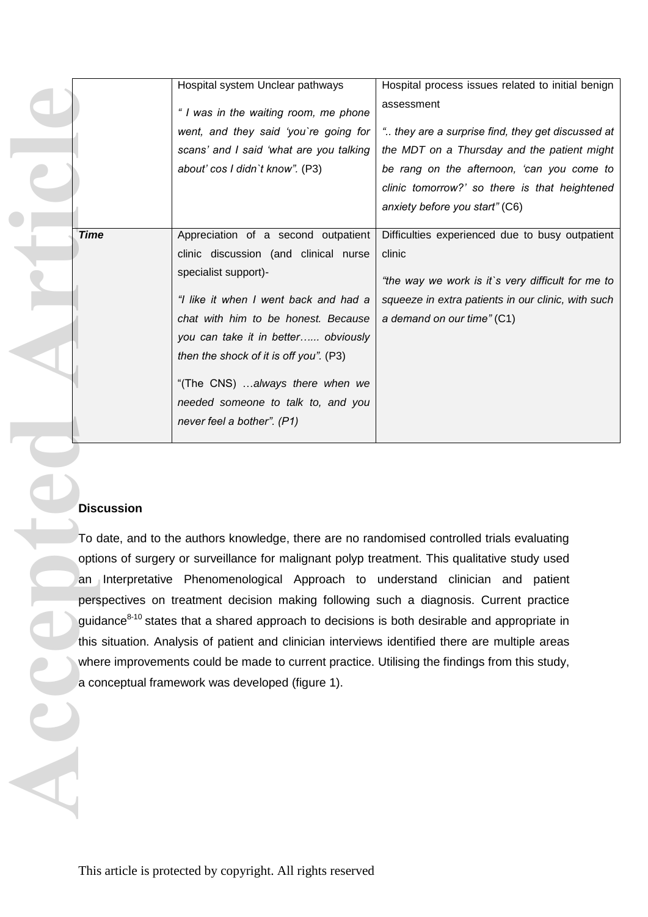|                                                                                               | Hospital system Unclear pathways                                                                         | Hospital process issues related to initial benign                                                       |  |  |  |
|-----------------------------------------------------------------------------------------------|----------------------------------------------------------------------------------------------------------|---------------------------------------------------------------------------------------------------------|--|--|--|
|                                                                                               | " I was in the waiting room, me phone                                                                    | assessment                                                                                              |  |  |  |
|                                                                                               | went, and they said 'you're going for                                                                    | " they are a surprise find, they get discussed at                                                       |  |  |  |
|                                                                                               | scans' and I said 'what are you talking                                                                  | the MDT on a Thursday and the patient might                                                             |  |  |  |
|                                                                                               | about' cos I didn't know". (P3)                                                                          | be rang on the afternoon, 'can you come to                                                              |  |  |  |
|                                                                                               |                                                                                                          | clinic tomorrow?' so there is that heightened                                                           |  |  |  |
|                                                                                               |                                                                                                          | anxiety before you start" (C6)                                                                          |  |  |  |
| <b>Time</b>                                                                                   | Appreciation of a second outpatient                                                                      | Difficulties experienced due to busy outpatient                                                         |  |  |  |
|                                                                                               | clinic discussion (and clinical nurse                                                                    | clinic                                                                                                  |  |  |  |
|                                                                                               | specialist support)-                                                                                     |                                                                                                         |  |  |  |
|                                                                                               | "I like it when I went back and had a                                                                    | "the way we work is it's very difficult for me to<br>squeeze in extra patients in our clinic, with such |  |  |  |
|                                                                                               | chat with him to be honest. Because                                                                      | a demand on our time" (C1)                                                                              |  |  |  |
|                                                                                               | you can take it in better obviously                                                                      |                                                                                                         |  |  |  |
|                                                                                               | then the shock of it is off you". (P3)                                                                   |                                                                                                         |  |  |  |
|                                                                                               |                                                                                                          |                                                                                                         |  |  |  |
|                                                                                               | "(The CNS) always there when we                                                                          |                                                                                                         |  |  |  |
|                                                                                               | needed someone to talk to, and you                                                                       |                                                                                                         |  |  |  |
|                                                                                               | never feel a bother". (P1)                                                                               |                                                                                                         |  |  |  |
|                                                                                               |                                                                                                          |                                                                                                         |  |  |  |
|                                                                                               |                                                                                                          |                                                                                                         |  |  |  |
|                                                                                               |                                                                                                          |                                                                                                         |  |  |  |
| <b>Discussion</b>                                                                             |                                                                                                          |                                                                                                         |  |  |  |
|                                                                                               | To date, and to the authors knowledge, there are no randomised controlled trials evaluating              |                                                                                                         |  |  |  |
|                                                                                               | options of surgery or surveillance for malignant polyp treatment. This qualitative study used            |                                                                                                         |  |  |  |
|                                                                                               | an Interpretative Phenomenological Approach to understand clinician and patient                          |                                                                                                         |  |  |  |
|                                                                                               | perspectives on treatment decision making following such a diagnosis. Current practice                   |                                                                                                         |  |  |  |
|                                                                                               | guidance <sup>8-10</sup> states that a shared approach to decisions is both desirable and appropriate in |                                                                                                         |  |  |  |
|                                                                                               | this situation. Analysis of patient and clinician interviews identified there are multiple areas         |                                                                                                         |  |  |  |
| where improvements could be made to current practice. Utilising the findings from this study, |                                                                                                          |                                                                                                         |  |  |  |
|                                                                                               | a conceptual framework was developed (figure 1).                                                         |                                                                                                         |  |  |  |
|                                                                                               |                                                                                                          |                                                                                                         |  |  |  |
|                                                                                               |                                                                                                          |                                                                                                         |  |  |  |
|                                                                                               |                                                                                                          |                                                                                                         |  |  |  |
|                                                                                               |                                                                                                          |                                                                                                         |  |  |  |
|                                                                                               |                                                                                                          |                                                                                                         |  |  |  |
|                                                                                               |                                                                                                          |                                                                                                         |  |  |  |

### **Discussion**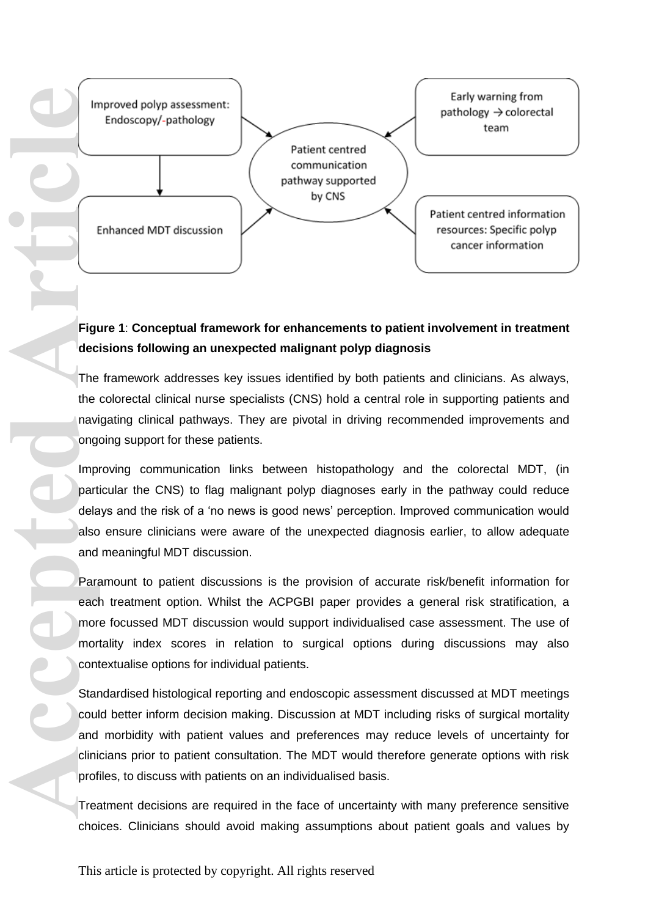

# **Figure 1**: **Conceptual framework for enhancements to patient involvement in treatment decisions following an unexpected malignant polyp diagnosis**

The framework addresses key issues identified by both patients and clinicians. As always, the colorectal clinical nurse specialists (CNS) hold a central role in supporting patients and navigating clinical pathways. They are pivotal in driving recommended improvements and ongoing support for these patients.

Improving communication links between histopathology and the colorectal MDT, (in particular the CNS) to flag malignant polyp diagnoses early in the pathway could reduce delays and the risk of a 'no news is good news' perception. Improved communication would also ensure clinicians were aware of the unexpected diagnosis earlier, to allow adequate and meaningful MDT discussion.

Paramount to patient discussions is the provision of accurate risk/benefit information for each treatment option. Whilst the ACPGBI paper provides a general risk stratification, a more focussed MDT discussion would support individualised case assessment. The use of mortality index scores in relation to surgical options during discussions may also contextualise options for individual patients.

Standardised histological reporting and endoscopic assessment discussed at MDT meetings could better inform decision making. Discussion at MDT including risks of surgical mortality and morbidity with patient values and preferences may reduce levels of uncertainty for clinicians prior to patient consultation. The MDT would therefore generate options with risk profiles, to discuss with patients on an individualised basis.

Treatment decisions are required in the face of uncertainty with many preference sensitive choices. Clinicians should avoid making assumptions about patient goals and values by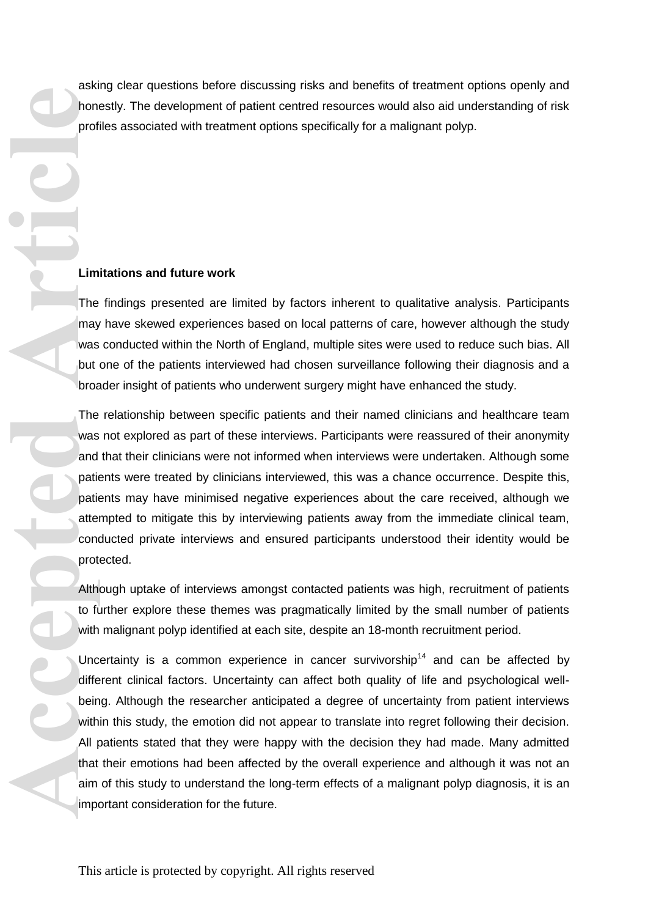asking clear questions before discussing risks and benefits of treatment options openly and honestly. The development of patient centred resources would also aid understanding of risk profiles associated with treatment options specifically for a malignant polyp.

#### **Limitations and future work**

The findings presented are limited by factors inherent to qualitative analysis. Participants may have skewed experiences based on local patterns of care, however although the study was conducted within the North of England, multiple sites were used to reduce such bias. All but one of the patients interviewed had chosen surveillance following their diagnosis and a broader insight of patients who underwent surgery might have enhanced the study.

The relationship between specific patients and their named clinicians and healthcare team was not explored as part of these interviews. Participants were reassured of their anonymity and that their clinicians were not informed when interviews were undertaken. Although some patients were treated by clinicians interviewed, this was a chance occurrence. Despite this, patients may have minimised negative experiences about the care received, although we attempted to mitigate this by interviewing patients away from the immediate clinical team, conducted private interviews and ensured participants understood their identity would be protected.

Although uptake of interviews amongst contacted patients was high, recruitment of patients to further explore these themes was pragmatically limited by the small number of patients with malignant polyp identified at each site, despite an 18-month recruitment period.

Uncertainty is a common experience in cancer survivorship<sup>14</sup> and can be affected by different clinical factors. Uncertainty can affect both quality of life and psychological wellbeing. Although the researcher anticipated a degree of uncertainty from patient interviews within this study, the emotion did not appear to translate into regret following their decision. All patients stated that they were happy with the decision they had made. Many admitted that their emotions had been affected by the overall experience and although it was not an aim of this study to understand the long-term effects of a malignant polyp diagnosis, it is an important consideration for the future. **Acception Containers**<br> **Article**<br> **Article**<br> **Article**<br> **Article**<br> **Article**<br> **Article**<br> **Article**<br> **Article**<br> **Article**<br> **Article**<br> **Article**<br> **Article**<br> **Article**<br> **Article**<br> **Article**<br> **Article**<br> **Article**<br> **Article**<br>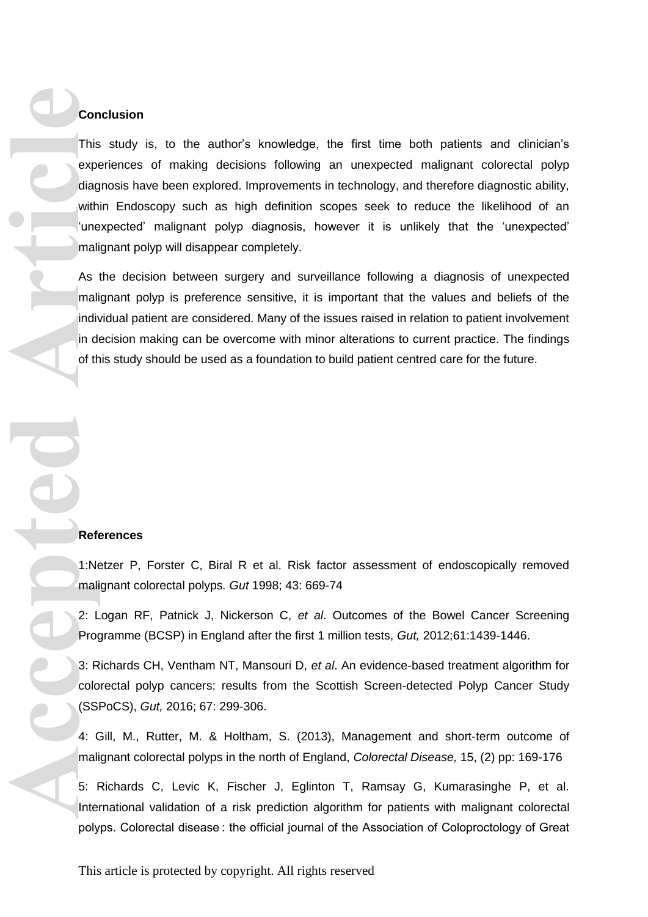#### **Conclusion**

This study is, to the author's knowledge, the first time both patients and clinician's experiences of making decisions following an unexpected malignant colorectal polyp diagnosis have been explored. Improvements in technology, and therefore diagnostic ability, within Endoscopy such as high definition scopes seek to reduce the likelihood of an 'unexpected' malignant polyp diagnosis, however it is unlikely that the 'unexpected' malignant polyp will disappear completely. **Con**<br>
This experting<br>
with time mali<br>
in de fit<br>
in de fit<br>
in de fit<br> **Refit**<br>
1:Ne<br>
mali<br>
2: L<br>
Prog<br>
3: R<br>
Colo<br>
(SSI<br>
4: C<br>
mali<br>
5: H<br>
Internation of the state of the state of the state of the state of the state of t

As the decision between surgery and surveillance following a diagnosis of unexpected malignant polyp is preference sensitive, it is important that the values and beliefs of the individual patient are considered. Many of the issues raised in relation to patient involvement in decision making can be overcome with minor alterations to current practice. The findings of this study should be used as a foundation to build patient centred care for the future.

#### **References**

1:Netzer P, Forster C, Biral R et al. Risk factor assessment of endoscopically removed malignant colorectal polyps*. Gut* 1998; 43: 669-74

2: Logan RF, Patnick J, Nickerson C, *et al*. Outcomes of the Bowel Cancer Screening Programme (BCSP) in England after the first 1 million tests, *Gut,* 2012;61:1439-1446.

3: Richards CH, Ventham NT, Mansouri D, *et al*. An evidence-based treatment algorithm for colorectal polyp cancers: results from the Scottish Screen-detected Polyp Cancer Study (SSPoCS), *Gut,* 2016; 67: 299-306.

4: Gill, M., Rutter, M. & Holtham, S. (2013), Management and short‐term outcome of malignant colorectal polyps in the north of England, *Colorectal Disease,* 15, (2) pp: 169-176

5: Richards C, Levic K, Fischer J, Eglinton T, Ramsay G, Kumarasinghe P, et al. International validation of a risk prediction algorithm for patients with malignant colorectal polyps. Colorectal disease : the official journal of the Association of Coloproctology of Great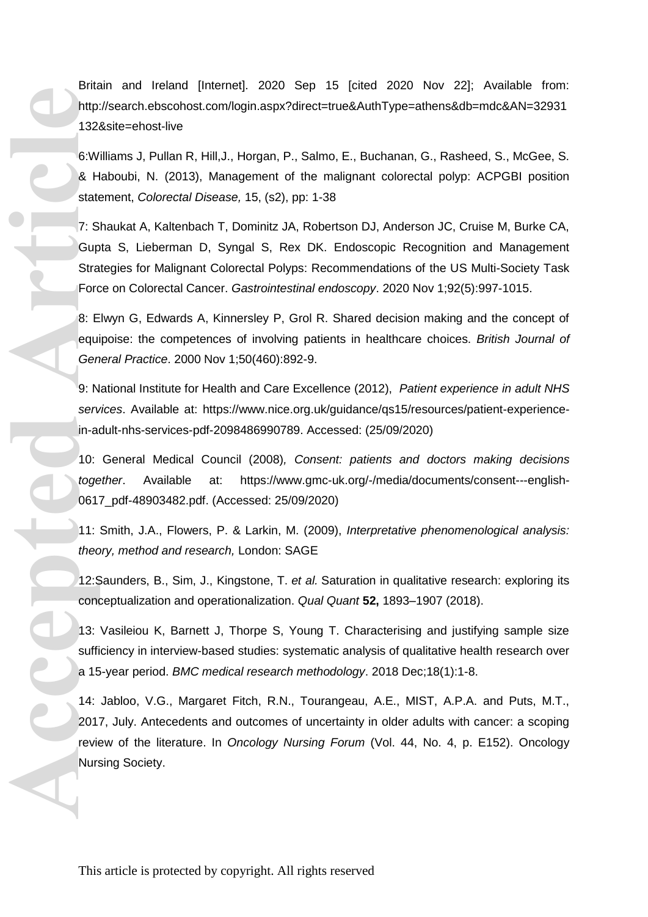Britain and Ireland [Internet]. 2020 Sep 15 [cited 2020 Nov 22]; Available from: http://search.ebscohost.com/login.aspx?direct=true&AuthType=athens&db=mdc&AN=32931 132&site=ehost-live

6:Williams J, Pullan R, Hill,J., Horgan, P., Salmo, E., Buchanan, G., Rasheed, S., McGee, S. & Haboubi, N. (2013), Management of the malignant colorectal polyp: ACPGBI position statement, *Colorectal Disease,* 15, (s2), pp: 1-38

7: Shaukat A, Kaltenbach T, Dominitz JA, Robertson DJ, Anderson JC, Cruise M, Burke CA, Gupta S, Lieberman D, Syngal S, Rex DK. Endoscopic Recognition and Management Strategies for Malignant Colorectal Polyps: Recommendations of the US Multi-Society Task Force on Colorectal Cancer. *Gastrointestinal endoscopy*. 2020 Nov 1;92(5):997-1015.

8: Elwyn G, Edwards A, Kinnersley P, Grol R. Shared decision making and the concept of equipoise: the competences of involving patients in healthcare choices. *British Journal of General Practice*. 2000 Nov 1;50(460):892-9.

9: National Institute for Health and Care Excellence (2012), *Patient experience in adult NHS services*. Available at: [https://www.nice.org.uk/guidance/qs15/resources/patient-experience](https://www.nice.org.uk/guidance/qs15/resources/patient-experience-in-adult-nhs-services-pdf-2098486990789)[in-adult-nhs-services-pdf-2098486990789.](https://www.nice.org.uk/guidance/qs15/resources/patient-experience-in-adult-nhs-services-pdf-2098486990789) Accessed: (25/09/2020)

10: General Medical Council (2008)*, Consent: patients and doctors making decisions together*. Available at: [https://www.gmc-uk.org/-/media/documents/consent---english-](https://www.gmc-uk.org/-/media/documents/consent---english-0617_pdf-48903482.pdf)[0617\\_pdf-48903482.pdf.](https://www.gmc-uk.org/-/media/documents/consent---english-0617_pdf-48903482.pdf) (Accessed: 25/09/2020)

11: Smith, J.A., Flowers, P. & Larkin, M. (2009), *Interpretative phenomenological analysis: theory, method and research,* London: SAGE

12:Saunders, B., Sim, J., Kingstone, T. *et al.* Saturation in qualitative research: exploring its conceptualization and operationalization. *Qual Quant* **52,** 1893–1907 (2018).

13: Vasileiou K, Barnett J, Thorpe S, Young T. Characterising and justifying sample size sufficiency in interview-based studies: systematic analysis of qualitative health research over a 15-year period. *BMC medical research methodology*. 2018 Dec;18(1):1-8.

14: Jabloo, V.G., Margaret Fitch, R.N., Tourangeau, A.E., MIST, A.P.A. and Puts, M.T., 2017, July. Antecedents and outcomes of uncertainty in older adults with cancer: a scoping review of the literature. In *Oncology Nursing Forum* (Vol. 44, No. 4, p. E152). Oncology Nursing Society. Accepted Articles<br>
Article<br>
1324<br>
6: W<br>
8: H<br>
state<br>
7: S<br>
Gup<br>
Strate<br>
7: S<br>
Gup<br>
Strate<br>
Force<br>
8: E<br>
equi<br>
Gen<br>
9: N<br>
serv<br>
in-at<br>
10: toge<br>
061<br>
11: thec<br>
12: S<br>
14: 21: S<br>
14: 21: S<br>
14: 21: S<br>
14: 21: S<br>
14: 21: S<br>
1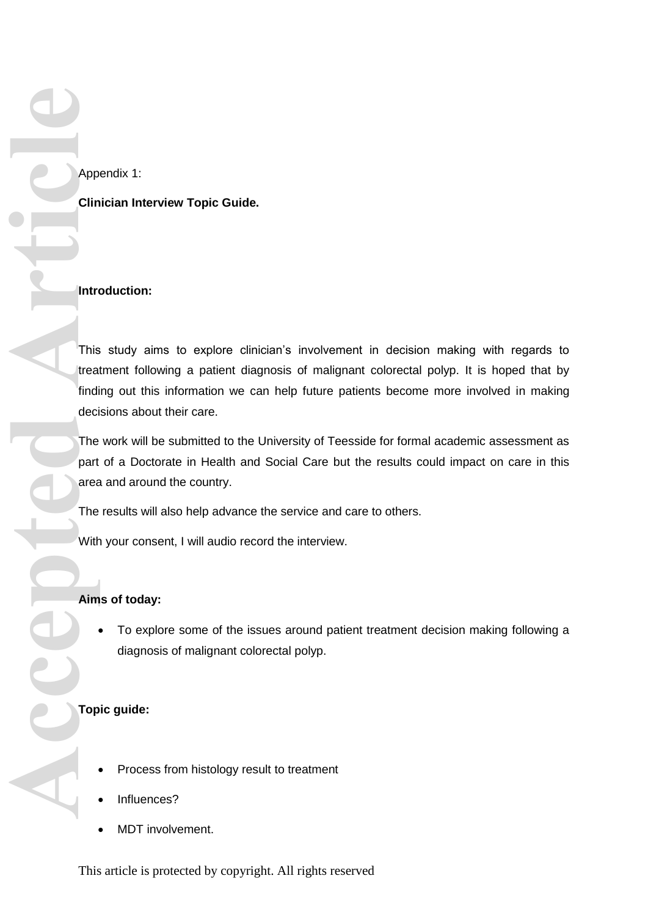**Clinician Interview Topic Guide.** 

### **Introduction:**

This study aims to explore clinician's involvement in decision making with regards to treatment following a patient diagnosis of malignant colorectal polyp. It is hoped that by finding out this information we can help future patients become more involved in making decisions about their care. **App Clin**<br>
This treat<br>
This treat<br>
The deci<br>
The area<br>
With<br>
Aim Clinn<br>
Aim Clinn<br>
Aim Clinn<br>
Aim Clinn<br>
Aim Clinn<br>
Aim Clinn<br>
Aim Clinn<br>
Aim Clinn<br>
Aim Clinn<br>
Aim Clinn<br>
Aim Clinn<br>
Aim Clinn<br>
Aim Clinn<br>
Aim Clinn<br>
Aim Cl

The work will be submitted to the University of Teesside for formal academic assessment as part of a Doctorate in Health and Social Care but the results could impact on care in this area and around the country.

The results will also help advance the service and care to others.

With your consent, I will audio record the interview.

### **Aims of today:**

 To explore some of the issues around patient treatment decision making following a diagnosis of malignant colorectal polyp.

### **Topic guide:**

- Process from histology result to treatment
- Influences?
- MDT involvement.

This article is protected by copyright. All rights reserved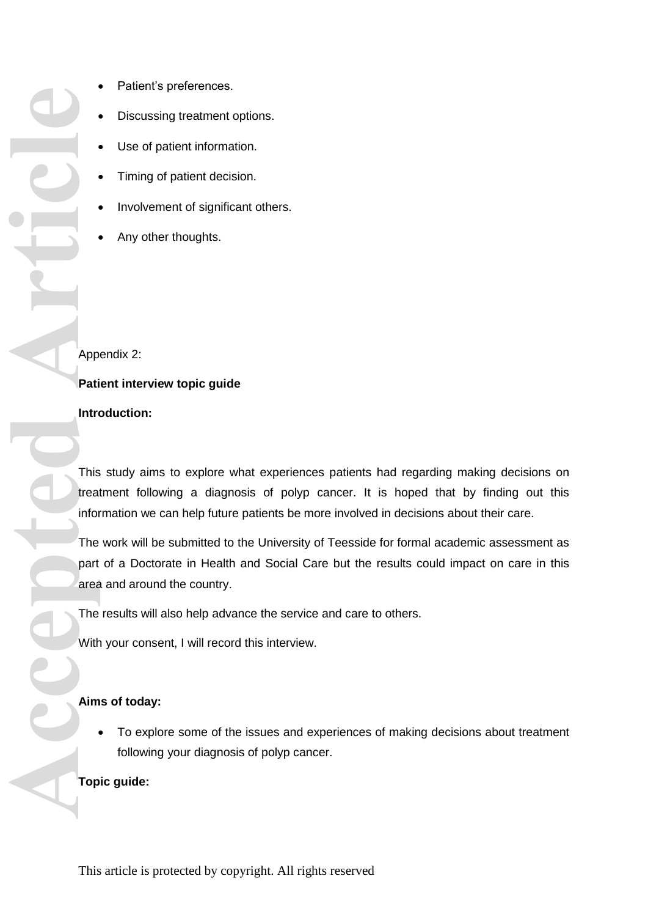- Patient's preferences.
- Discussing treatment options.
- Use of patient information.
- Timing of patient decision.
- Involvement of significant others.
- Any other thoughts.

Appendix 2:

**Patient interview topic guide** 

### **Introduction:**

This study aims to explore what experiences patients had regarding making decisions on treatment following a diagnosis of polyp cancer. It is hoped that by finding out this information we can help future patients be more involved in decisions about their care.

The work will be submitted to the University of Teesside for formal academic assessment as part of a Doctorate in Health and Social Care but the results could impact on care in this area and around the country.

The results will also help advance the service and care to others.

With your consent, I will record this interview.

### **Aims of today:**

 To explore some of the issues and experiences of making decisions about treatment following your diagnosis of polyp cancer.

### **Topic guide:**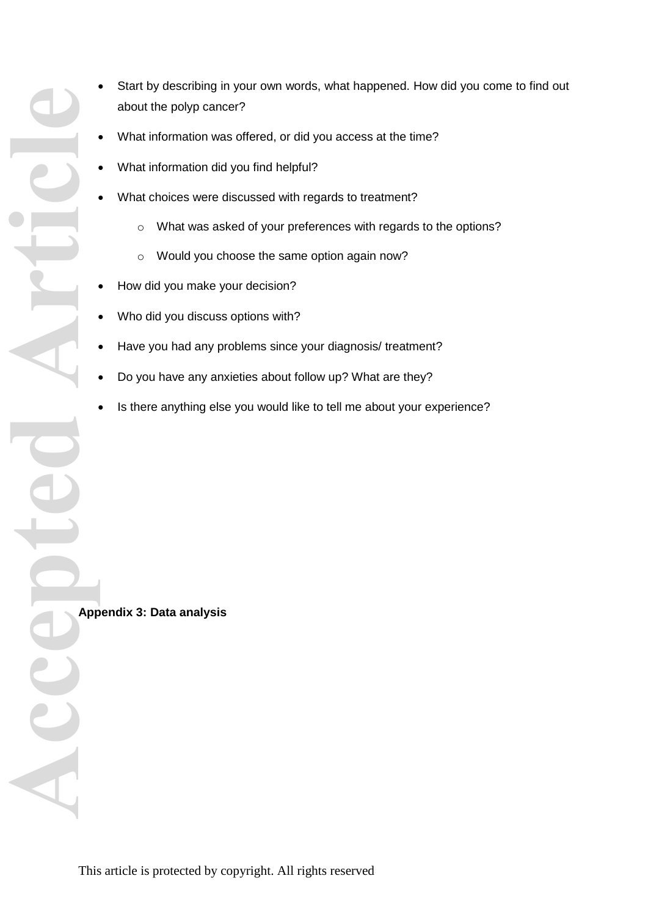- Start by describing in your own words, what happened. How did you come to find out about the polyp cancer?
- What information was offered, or did you access at the time?
- What information did you find helpful?
- What choices were discussed with regards to treatment?
	- o What was asked of your preferences with regards to the options?
	- o Would you choose the same option again now?
- How did you make your decision?
- Who did you discuss options with?
- Have you had any problems since your diagnosis/ treatment?
- Do you have any anxieties about follow up? What are they?
- Is there anything else you would like to tell me about your experience?

**Appendix 3: Data analysis**